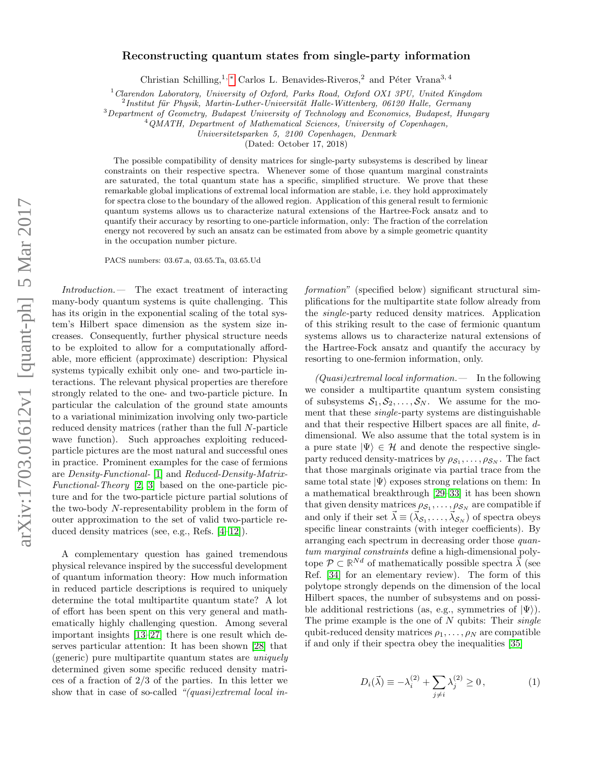# arXiv:1703.01612v1 [quant-ph] 5 Mar 2017 arXiv:1703.01612v1 [quant-ph] 5 Mar 2017

# Reconstructing quantum states from single-party information

Christian Schilling,<sup>1, \*</sup> Carlos L. Benavides-Riveros,<sup>2</sup> and Péter Vrana<sup>3, 4</sup>

 $1$  Clarendon Laboratory, University of Oxford, Parks Road, Oxford OX1 3PU, United Kingdom

 $^{2}$ Institut für Physik, Martin-Luther-Universität Halle-Wittenberg, 06120 Halle, Germany

<sup>3</sup>Department of Geometry, Budapest University of Technology and Economics, Budapest, Hungary

<sup>4</sup>QMATH, Department of Mathematical Sciences, University of Copenhagen,

Universitetsparken 5, 2100 Copenhagen, Denmark

(Dated: October 17, 2018)

The possible compatibility of density matrices for single-party subsystems is described by linear constraints on their respective spectra. Whenever some of those quantum marginal constraints are saturated, the total quantum state has a specific, simplified structure. We prove that these remarkable global implications of extremal local information are stable, i.e. they hold approximately for spectra close to the boundary of the allowed region. Application of this general result to fermionic quantum systems allows us to characterize natural extensions of the Hartree-Fock ansatz and to quantify their accuracy by resorting to one-particle information, only: The fraction of the correlation energy not recovered by such an ansatz can be estimated from above by a simple geometric quantity in the occupation number picture.

PACS numbers: 03.67.a, 03.65.Ta, 03.65.Ud

Introduction.— The exact treatment of interacting many-body quantum systems is quite challenging. This has its origin in the exponential scaling of the total system's Hilbert space dimension as the system size increases. Consequently, further physical structure needs to be exploited to allow for a computationally affordable, more efficient (approximate) description: Physical systems typically exhibit only one- and two-particle interactions. The relevant physical properties are therefore strongly related to the one- and two-particle picture. In particular the calculation of the ground state amounts to a variational minimization involving only two-particle reduced density matrices (rather than the full N-particle wave function). Such approaches exploiting reducedparticle pictures are the most natural and successful ones in practice. Prominent examples for the case of fermions are Density-Functional- [\[1\]](#page-4-1) and Reduced-Density-Matrix-Functional-Theory [\[2,](#page-4-2) [3\]](#page-4-3) based on the one-particle picture and for the two-particle picture partial solutions of the two-body N-representability problem in the form of outer approximation to the set of valid two-particle reduced density matrices (see, e.g., Refs. [\[4](#page-4-4)[–12\]](#page-4-5)).

A complementary question has gained tremendous physical relevance inspired by the successful development of quantum information theory: How much information in reduced particle descriptions is required to uniquely determine the total multipartite quantum state? A lot of effort has been spent on this very general and mathematically highly challenging question. Among several important insights [\[13](#page-4-6)[–27\]](#page-4-7) there is one result which deserves particular attention: It has been shown [\[28\]](#page-4-8) that (generic) pure multipartite quantum states are uniquely determined given some specific reduced density matrices of a fraction of 2/3 of the parties. In this letter we show that in case of so-called "(quasi)extremal local information" (specified below) significant structural simplifications for the multipartite state follow already from the single-party reduced density matrices. Application of this striking result to the case of fermionic quantum systems allows us to characterize natural extensions of the Hartree-Fock ansatz and quantify the accuracy by resorting to one-fermion information, only.

 $(Quasi) extremal local information.$  In the following we consider a multipartite quantum system consisting of subsystems  $S_1, S_2, \ldots, S_N$ . We assume for the moment that these single-party systems are distinguishable and that their respective Hilbert spaces are all finite, ddimensional. We also assume that the total system is in a pure state  $|\Psi\rangle \in \mathcal{H}$  and denote the respective singleparty reduced density-matrices by  $\rho_{S_1}, \ldots, \rho_{S_N}$ . The fact that those marginals originate via partial trace from the same total state  $|\Psi\rangle$  exposes strong relations on them: In a mathematical breakthrough [\[29–](#page-4-9)[33\]](#page-4-10) it has been shown that given density matrices  $\rho_{S_1}, \ldots, \rho_{S_N}$  are compatible if and only if their set  $\vec{\lambda} \equiv (\vec{\lambda}_{S_1}, \dots, \vec{\lambda}_{S_N})$  of spectra obeys specific linear constraints (with integer coefficients). By arranging each spectrum in decreasing order those quantum marginal constraints define a high-dimensional polytope  $\mathcal{P} \subset \mathbb{R}^{Nd}$  of mathematically possible spectra  $\vec{\lambda}$  (see Ref. [\[34\]](#page-4-11) for an elementary review). The form of this polytope strongly depends on the dimension of the local Hilbert spaces, the number of subsystems and on possible additional restrictions (as, e.g., symmetries of  $|\Psi\rangle$ ). The prime example is the one of  $N$  qubits: Their *single* qubit-reduced density matrices  $\rho_1, \ldots, \rho_N$  are compatible if and only if their spectra obey the inequalities [\[35\]](#page-4-12)

<span id="page-0-0"></span>
$$
D_i(\vec{\lambda}) \equiv -\lambda_i^{(2)} + \sum_{j \neq i} \lambda_j^{(2)} \ge 0, \qquad (1)
$$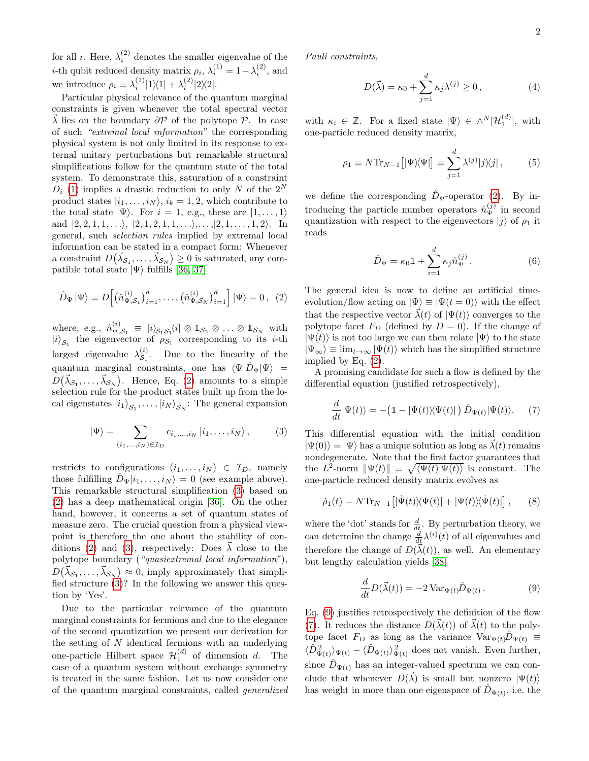for all *i*. Here,  $\lambda_i^{(2)}$  denotes the smaller eigenvalue of the *i*-th qubit reduced density matrix  $\rho_i$ ,  $\lambda_i^{(1)} = 1 - \lambda_i^{(2)}$ , and we introduce  $\rho_i \equiv \lambda_i^{(1)}|1\rangle\langle 1| + \lambda_i^{(2)}|2\rangle\langle 2|$ .

Particular physical relevance of the quantum marginal constraints is given whenever the total spectral vector  $\overline{\lambda}$  lies on the boundary  $\partial \mathcal{P}$  of the polytope  $\mathcal{P}$ . In case of such "extremal local information" the corresponding physical system is not only limited in its response to external unitary perturbations but remarkable structural simplifications follow for the quantum state of the total system. To demonstrate this, saturation of a constraint  $D_i$  [\(1\)](#page-0-0) implies a drastic reduction to only N of the 2<sup>N</sup> product states  $|i_1, \ldots, i_N\rangle$ ,  $i_k = 1, 2$ , which contribute to the total state  $|\Psi\rangle$ . For  $i = 1$ , e.g., these are  $|1, \ldots, 1\rangle$ and  $|2, 2, 1, 1, \ldots \rangle$ ,  $|2, 1, 2, 1, 1, \ldots \rangle$ , ...,  $|2, 1, \ldots, 1, 2 \rangle$ . In general, such selection rules implied by extremal local information can be stated in a compact form: Whenever a constraint  $D(\vec{\lambda}_{\mathcal{S}_1}, \ldots, \vec{\lambda}_{\mathcal{S}_N}) \geq 0$  is saturated, any compatible total state  $|\Psi\rangle$  fulfills [\[36,](#page-4-13) [37\]](#page-4-14)

<span id="page-1-0"></span>
$$
\hat{D}_{\Psi} | \Psi \rangle \equiv D \Big[ \big( \hat{n}_{\Psi, \mathcal{S}_1}^{(i)} \big)_{i=1}^d, \dots, \big( \hat{n}_{\Psi, \mathcal{S}_N}^{(i)} \big)_{i=1}^d \Big] | \Psi \rangle = 0 \,, \tag{2}
$$

where, e.g.,  $\hat{n}_{\Psi}^{(i)}$  $\mathcal{L}_{\Psi,\mathcal{S}_1}^{(i)} \equiv |i\rangle_{\mathcal{S}_1\mathcal{S}_1}\langle i| \otimes \mathbb{1}_{\mathcal{S}_2} \otimes \ldots \otimes \mathbb{1}_{\mathcal{S}_N}$  with  $|i\rangle_{\mathcal{S}_1}$  the eigenvector of  $\rho_{\mathcal{S}_1}$  corresponding to its *i*-th largest eigenvalue  $\lambda_{\mathcal{S}_1}^{(i)}$  $S_1^{(i)}$ . Due to the linearity of the quantum marginal constraints, one has  $\langle \Psi | \hat{D}_{\Psi} | \Psi \rangle$  =  $D(\vec{\lambda}_{\mathcal{S}_1},\ldots,\vec{\lambda}_{\mathcal{S}_N}).$  Hence, Eq. [\(2\)](#page-1-0) amounts to a simple selection rule for the product states built up from the local eigenstates  $|i_1\rangle_{\mathcal{S}_1}, \ldots, |i_N\rangle_{\mathcal{S}_N}$ : The general expansion

<span id="page-1-1"></span>
$$
|\Psi\rangle = \sum_{(i_1,\ldots,i_N)\in\mathcal{I}_D} c_{i_1,\ldots,i_N} |i_1,\ldots,i_N\rangle, \qquad (3)
$$

restricts to configurations  $(i_1, \ldots, i_N) \in \mathcal{I}_D$ , namely those fulfilling  $D_{\Psi}|i_1,\ldots,i_N\rangle = 0$  (see example above). This remarkable structural simplification [\(3\)](#page-1-1) based on [\(2\)](#page-1-0) has a deep mathematical origin [\[36\]](#page-4-13). On the other hand, however, it concerns a set of quantum states of measure zero. The crucial question from a physical viewpoint is therefore the one about the stability of con-ditions [\(2\)](#page-1-0) and [\(3\)](#page-1-1), respectively: Does  $\lambda$  close to the polytope boundary ("quasiextremal local information"),  $D(\vec{\lambda}_{\mathcal{S}_1}, \ldots, \vec{\lambda}_{\mathcal{S}_N}) \approx 0$ , imply approximately that simplified structure [\(3\)](#page-1-1)? In the following we answer this question by 'Yes'.

Due to the particular relevance of the quantum marginal constraints for fermions and due to the elegance of the second quantization we present our derivation for the setting of  $N$  identical fermions with an underlying one-particle Hilbert space  $\mathcal{H}_1^{(d)}$  of dimension d. The case of a quantum system without exchange symmetry is treated in the same fashion. Let us now consider one of the quantum marginal constraints, called generalized Pauli constraints,

<span id="page-1-6"></span>
$$
D(\vec{\lambda}) = \kappa_0 + \sum_{j=1}^{d} \kappa_j \lambda^{(j)} \ge 0, \qquad (4)
$$

with  $\kappa_i \in \mathbb{Z}$ . For a fixed state  $|\Psi\rangle \in \wedge^N[\mathcal{H}_1^{(d)}]$ , with one-particle reduced density matrix,

<span id="page-1-5"></span>
$$
\rho_1 \equiv N \text{Tr}_{N-1} \left[ |\Psi \rangle \langle \Psi| \right] \equiv \sum_{j=1}^d \lambda^{(j)} |j \rangle \langle j| \,, \tag{5}
$$

we define the corresponding  $\hat{D}_{\Psi}$ -operator [\(2\)](#page-1-0). By introducing the particle number operators  $\hat{n}_{\Psi}^{(j)}$  in second quantization with respect to the eigenvectors  $|j\rangle$  of  $\rho_1$  it reads

<span id="page-1-4"></span>
$$
\hat{D}_{\Psi} = \kappa_0 \mathbb{1} + \sum_{i=1}^{d} \kappa_j \hat{n}_{\Psi}^{(j)}.
$$
\n(6)

The general idea is now to define an artificial timeevolution/flow acting on  $|\Psi\rangle \equiv |\Psi(t=0)\rangle$  with the effect that the respective vector  $\vec{\lambda}(t)$  of  $|\Psi(t)\rangle$  converges to the polytope facet  $F_D$  (defined by  $D = 0$ ). If the change of  $|\Psi(t)\rangle$  is not too large we can then relate  $|\Psi\rangle$  to the state  $|\Psi_{\infty}\rangle \equiv \lim_{t\to\infty} |\Psi(t)\rangle$  which has the simplified structure implied by Eq. [\(2\)](#page-1-0).

A promising candidate for such a flow is defined by the differential equation (justified retrospectively),

<span id="page-1-3"></span>
$$
\frac{d}{dt}|\Psi(t)\rangle = -\big(\mathbb{1} - |\Psi(t)\rangle\langle\Psi(t)|\big)\,\hat{D}_{\Psi(t)}|\Psi(t)\rangle. \tag{7}
$$

This differential equation with the initial condition  $|\Psi(0)\rangle = |\Psi\rangle$  has a unique solution as long as  $\lambda(t)$  remains nondegenerate. Note that the first factor guarantees that the L<sup>2</sup>-norm  $\|\Psi(t)\| \equiv \sqrt{\langle \Psi(t)|\Psi(t)\rangle}$  is constant. The one-particle reduced density matrix evolves as

<span id="page-1-7"></span>
$$
\dot{\rho}_1(t) = N \text{Tr}_{N-1} \left[ |\dot{\Psi}(t) \rangle \langle \Psi(t) | + | \Psi(t) \rangle \langle \dot{\Psi}(t) | \right], \qquad (8)
$$

where the 'dot' stands for  $\frac{d}{dt}$ . By perturbation theory, we can determine the change  $\frac{d}{dt}\lambda^{(i)}(t)$  of all eigenvalues and therefore the change of  $D(\vec{\lambda}(t))$ , as well. An elementary but lengthy calculation yields [\[38\]](#page-4-15)

<span id="page-1-2"></span>
$$
\frac{d}{dt}D(\vec{\lambda}(t)) = -2 \operatorname{Var}_{\Psi(t)} \hat{D}_{\Psi(t)}.
$$
\n(9)

Eq. [\(9\)](#page-1-2) justifies retrospectively the definition of the flow [\(7\)](#page-1-3). It reduces the distance  $D(\vec{\lambda}(t))$  of  $\vec{\lambda}(t)$  to the polytope facet  $F_D$  as long as the variance  $Var_{\Psi(t)}\overline{D}_{\Psi(t)} \equiv$  $\langle \hat{D}_{\Psi(t)}^2 \rangle_{\Psi(t)} - \langle \hat{D}_{\Psi(t)} \rangle_{\Psi(t)}^2$  does not vanish. Even further, since  $\hat{D}_{\Psi(t)}$  has an integer-valued spectrum we can conclude that whenever  $D(\vec{\lambda})$  is small but nonzero  $|\Psi(t)\rangle$ has weight in more than one eigenspace of  $\hat{D}_{\Psi(t)}$ , i.e. the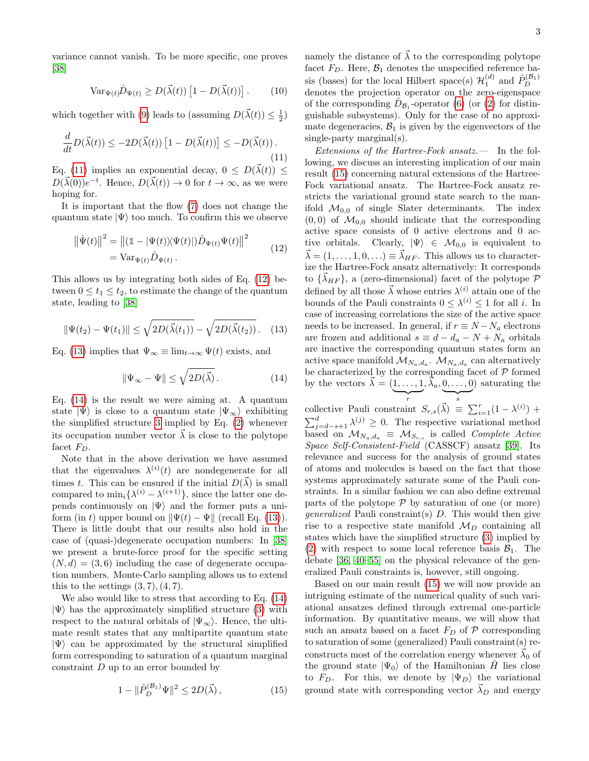variance cannot vanish. To be more specific, one proves [\[38\]](#page-4-15)

<span id="page-2-5"></span>
$$
\text{Var}_{\Psi(t)}\hat{D}_{\Psi(t)} \ge D(\vec{\lambda}(t)) \left[1 - D(\vec{\lambda}(t))\right]. \tag{10}
$$

which together with [\(9\)](#page-1-2) leads to (assuming  $D(\vec{\lambda}(t)) \leq \frac{1}{2}$ )

<span id="page-2-0"></span>
$$
\frac{d}{dt}D(\vec{\lambda}(t)) \le -2D(\vec{\lambda}(t))\left[1 - D(\vec{\lambda}(t))\right] \le -D(\vec{\lambda}(t)).
$$
\n(11)

Eq. [\(11\)](#page-2-0) implies an exponential decay,  $0 \leq D(\vec{\lambda}(t)) \leq$  $D(\vec{\lambda}(0))e^{-t}$ . Hence,  $D(\vec{\lambda}(t)) \to 0$  for  $t \to \infty$ , as we were hoping for.

It is important that the flow [\(7\)](#page-1-3) does not change the quantum state  $|\Psi\rangle$  too much. To confirm this we observe

<span id="page-2-1"></span>
$$
\|\dot{\Psi}(t)\|^2 = \|(\mathbb{1} - |\Psi(t)\rangle\langle\Psi(t)|)\hat{D}_{\Psi(t)}\Psi(t)\|^2
$$
  
= Var<sub>\Psi(t)</sub>  $\hat{D}_{\Psi(t)}$ . (12)

This allows us by integrating both sides of Eq. [\(12\)](#page-2-1) between  $0 \le t_1 \le t_2$ , to estimate the change of the quantum state, leading to [\[38\]](#page-4-15)

<span id="page-2-2"></span>
$$
\|\Psi(t_2) - \Psi(t_1)\| \le \sqrt{2D(\vec{\lambda}(t_1))} - \sqrt{2D(\vec{\lambda}(t_2))} \,. \tag{13}
$$

Eq. [\(13\)](#page-2-2) implies that  $\Psi_{\infty} \equiv \lim_{t \to \infty} \Psi(t)$  exists, and

<span id="page-2-3"></span>
$$
\|\Psi_{\infty} - \Psi\| \le \sqrt{2D(\vec{\lambda})} \,. \tag{14}
$$

Eq. [\(14\)](#page-2-3) is the result we were aiming at. A quantum state  $|\Psi\rangle$  is close to a quantum state  $|\Psi_{\infty}\rangle$  exhibiting the simplified structure [3](#page-1-1) implied by Eq. [\(2\)](#page-1-0) whenever its occupation number vector  $\vec{\lambda}$  is close to the polytope facet  $F_D$ .

Note that in the above derivation we have assumed that the eigenvalues  $\lambda^{(i)}(t)$  are nondegenerate for all times t. This can be ensured if the initial  $D(\vec{\lambda})$  is small compared to  $\min_i {\{\lambda^{(i)} - \lambda^{(i+1)}\}}$ , since the latter one depends continuously on  $|\Psi\rangle$  and the former puts a uniform (in t) upper bound on  $\|\Psi(t) - \Psi\|$  (recall Eq. [\(13\)](#page-2-2)). There is little doubt that our results also hold in the case of (quasi-)degenerate occupation numbers: In [\[38\]](#page-4-15) we present a brute-force proof for the specific setting  $(N, d) = (3, 6)$  including the case of degenerate occupation numbers. Monte-Carlo sampling allows us to extend this to the settings  $(3, 7), (4, 7)$ .

We also would like to stress that according to Eq. [\(14\)](#page-2-3)  $|\Psi\rangle$  has the approximately simplified structure [\(3\)](#page-1-1) with respect to the natural orbitals of  $|\Psi_{\infty}\rangle$ . Hence, the ultimate result states that any multipartite quantum state  $|\Psi\rangle$  can be approximated by the structural simplified form corresponding to saturation of a quantum marginal constraint D up to an error bounded by

<span id="page-2-4"></span>
$$
1 - \|\hat{P}_D^{(\mathcal{B}_1)}\Psi\|^2 \le 2D(\vec{\lambda}),\tag{15}
$$

namely the distance of  $\overline{\lambda}$  to the corresponding polytope facet  $F_D$ . Here,  $\mathcal{B}_1$  denotes the unspecified reference basis (bases) for the local Hilbert space(s)  $\mathcal{H}_1^{(d)}$  and  $\hat{P}_D^{(\mathcal{B}_1)}$ denotes the projection operator on the zero-eigenspace of the corresponding  $\hat{D}_{\mathcal{B}_1}$ -operator [\(6\)](#page-1-4) (or [\(2\)](#page-1-0) for distinguishable subsystems). Only for the case of no approximate degeneracies,  $\mathcal{B}_1$  is given by the eigenvectors of the single-party marginal(s).

Extensions of the Hartree-Fock ansatz.  $\qquad$  In the following, we discuss an interesting implication of our main result [\(15\)](#page-2-4) concerning natural extensions of the Hartree-Fock variational ansatz. The Hartree-Fock ansatz restricts the variational ground state search to the manifold  $\mathcal{M}_{0,0}$  of single Slater determinants. The index  $(0, 0)$  of  $\mathcal{M}_{0,0}$  should indicate that the corresponding active space consists of 0 active electrons and 0 active orbitals. Clearly,  $|\Psi\rangle \in \mathcal{M}_{0,0}$  is equivalent to  $\vec{\lambda} = (1, \ldots, 1, 0, \ldots) \equiv \vec{\lambda}_{HF}$ . This allows us to characterize the Hartree-Fock ansatz alternatively: It corresponds to  $\{\vec{\lambda}_{HF}\}\$ , a (zero-dimensional) facet of the polytope  $\mathcal P$ defined by all those  $\vec{\lambda}$  whose entries  $\lambda^{(i)}$  attain one of the bounds of the Pauli constraints  $0 \leq \lambda^{(i)} \leq 1$  for all *i*. In case of increasing correlations the size of the active space needs to be increased. In general, if  $r \equiv N - N_a$  electrons are frozen and additional  $s \equiv d - d_a - N + N_a$  orbitals are inactive the corresponding quantum states form an active space manifold  $\mathcal{M}_{N_a,d_a}$ .  $\mathcal{M}_{N_a,d_a}$  can alternatively be characterized by the corresponding facet of  ${\mathcal P}$  formed by the vectors  $\vec{\lambda} = (1, \ldots, 1)$  $\overline{r}$  $,\vec{\lambda}_a,0,\ldots,0$  $\overline{\phantom{a}}_s$ ) saturating the

collective Pauli constraint  $S_{r,s}(\vec{\lambda}) \equiv \sum_{i=1}^r (1 - \lambda^{(i)}) +$  $\sum_{j=d-s+1}^{d} \lambda^{(j)} \geq 0$ . The respective variational method based on  $\mathcal{M}_{N_a,d_a} \equiv \mathcal{M}_{S_{r,s}}$  is called Complete Active Space Self-Consistent-Field (CASSCF) ansatz [\[39\]](#page-5-0). Its relevance and success for the analysis of ground states of atoms and molecules is based on the fact that those systems approximately saturate some of the Pauli constraints. In a similar fashion we can also define extremal parts of the polytope  $P$  by saturation of one (or more) *generalized* Pauli constraint(s)  $D$ . This would then give rise to a respective state manifold  $\mathcal{M}_D$  containing all states which have the simplified structure [\(3\)](#page-1-1) implied by [\(2\)](#page-1-0) with respect to some local reference basis  $\mathcal{B}_1$ . The debate [\[36,](#page-4-13) [40–](#page-5-1)[55\]](#page-5-2) on the physical relevance of the generalized Pauli constraints is, however, still ongoing.

Based on our main result [\(15\)](#page-2-4) we will now provide an intriguing estimate of the numerical quality of such variational ansatzes defined through extremal one-particle information. By quantitative means, we will show that such an ansatz based on a facet  $F_D$  of  $\mathcal P$  corresponding to saturation of some (generalized) Pauli constraint(s) reconstructs most of the correlation energy whenever  $\vec{\lambda}_0$  of the ground state  $|\Psi_0\rangle$  of the Hamiltonian  $\hat{H}$  lies close to  $F_D$ . For this, we denote by  $|\Psi_D\rangle$  the variational ground state with corresponding vector  $\vec{\lambda}_D$  and energy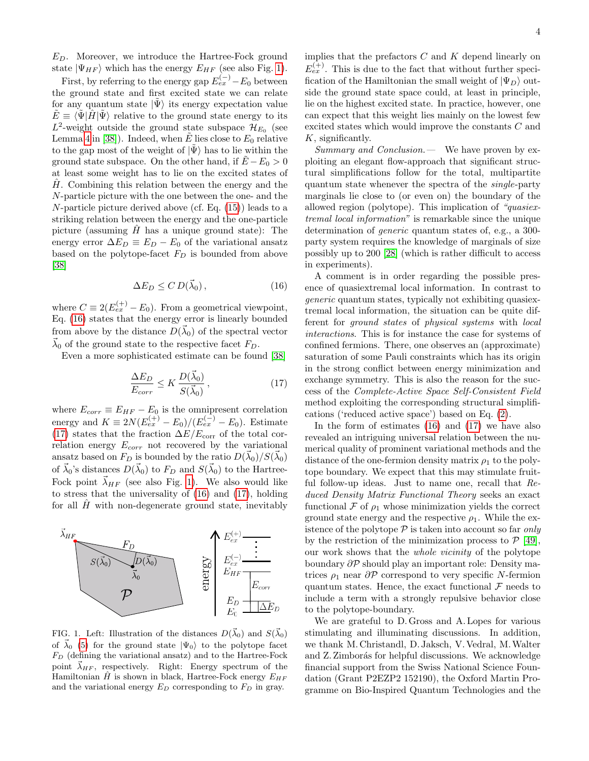$E_D$ . Moreover, we introduce the Hartree-Fock ground state  $|\Psi_{HF}\rangle$  which has the energy  $E_{HF}$  (see also Fig. [1\)](#page-3-0).

First, by referring to the energy gap  $E_{ex}^{(-)}$  –  $E_0$  between the ground state and first excited state we can relate for any quantum state  $|\Psi\rangle$  its energy expectation value  $\tilde{E} \equiv \langle \tilde{\Psi} | \hat{H} | \tilde{\Psi} \rangle$  relative to the ground state energy to its  $L^2$ -weight outside the ground state subspace  $\mathcal{H}_{E_0}$  (see Lemma [4](#page-10-0) in [\[38\]](#page-4-15)). Indeed, when  $\tilde{E}$  lies close to  $E_0$  relative to the gap most of the weight of  $|\Psi\rangle$  has to lie within the ground state subspace. On the other hand, if  $E - E_0 > 0$ at least some weight has to lie on the excited states of  $H$ . Combining this relation between the energy and the N-particle picture with the one between the one- and the N-particle picture derived above (cf. Eq. [\(15\)](#page-2-4)) leads to a striking relation between the energy and the one-particle picture (assuming  $H$  has a unique ground state): The energy error  $\Delta E_D \equiv E_D - E_0$  of the variational ansatz based on the polytope-facet  $F_D$  is bounded from above [\[38\]](#page-4-15)

<span id="page-3-1"></span>
$$
\Delta E_D \le C D(\vec{\lambda}_0),\tag{16}
$$

where  $C \equiv 2(E_{ex}^{(+)} - E_0)$ . From a geometrical viewpoint, Eq. [\(16\)](#page-3-1) states that the energy error is linearly bounded from above by the distance  $D(\vec{\lambda}_0)$  of the spectral vector  $\vec{\lambda}_0$  of the ground state to the respective facet  $F_D$ .

Even a more sophisticated estimate can be found [\[38\]](#page-4-15)

<span id="page-3-2"></span>
$$
\frac{\Delta E_D}{E_{corr}} \le K \frac{D(\vec{\lambda}_0)}{S(\vec{\lambda}_0)},\tag{17}
$$

where  $E_{corr} \equiv E_{HF} - E_0$  is the omnipresent correlation energy and  $K \equiv 2N(E_{ex}^{(+)} - E_0)/(E_{ex}^{(-)} - E_0)$ . Estimate [\(17\)](#page-3-2) states that the fraction  $\Delta E/E_{\text{corr}}$  of the total correlation energy  $E_{corr}$  not recovered by the variational ansatz based on  $F_D$  is bounded by the ratio  $D(\vec{\lambda}_0)/S(\vec{\lambda}_0)$ of  $\vec{\lambda}_0$ 's distances  $D(\vec{\lambda}_0)$  to  $F_D$  and  $S(\vec{\lambda}_0)$  to the Hartree-Fock point  $\vec{\lambda}_{HF}$  (see also Fig. [1\)](#page-3-0). We also would like to stress that the universality of [\(16\)](#page-3-1) and [\(17\)](#page-3-2), holding for all  $H$  with non-degenerate ground state, inevitably



<span id="page-3-0"></span>FIG. 1. Left: Illustration of the distances  $D(\vec{\lambda}_0)$  and  $S(\vec{\lambda}_0)$ of  $\vec{\lambda}_0$  [\(5\)](#page-1-5) for the ground state  $|\Psi_0\rangle$  to the polytope facet  $F_D$  (defining the variational ansatz) and to the Hartree-Fock point  $\vec{\lambda}_{HF}$ , respectively. Right: Energy spectrum of the Hamiltonian  $\hat{H}$  is shown in black, Hartree-Fock energy  $E_{HF}$ and the variational energy  $E_D$  corresponding to  $F_D$  in gray.

implies that the prefactors  $C$  and  $K$  depend linearly on  $E_{ex}^{(+)}$ . This is due to the fact that without further specification of the Hamiltonian the small weight of  $|\Psi_D\rangle$  outside the ground state space could, at least in principle, lie on the highest excited state. In practice, however, one can expect that this weight lies mainly on the lowest few excited states which would improve the constants C and K, significantly.

Summary and Conclusion.— We have proven by exploiting an elegant flow-approach that significant structural simplifications follow for the total, multipartite quantum state whenever the spectra of the single-party marginals lie close to (or even on) the boundary of the allowed region (polytope). This implication of "quasiextremal local information" is remarkable since the unique determination of generic quantum states of, e.g., a 300 party system requires the knowledge of marginals of size possibly up to 200 [\[28\]](#page-4-8) (which is rather difficult to access in experiments).

A comment is in order regarding the possible presence of quasiextremal local information. In contrast to generic quantum states, typically not exhibiting quasiextremal local information, the situation can be quite different for ground states of physical systems with local interactions. This is for instance the case for systems of confined fermions. There, one observes an (approximate) saturation of some Pauli constraints which has its origin in the strong conflict between energy minimization and exchange symmetry. This is also the reason for the success of the Complete-Active Space Self-Consistent Field method exploiting the corresponding structural simplifications ('reduced active space') based on Eq. [\(2\)](#page-1-0).

In the form of estimates [\(16\)](#page-3-1) and [\(17\)](#page-3-2) we have also revealed an intriguing universal relation between the numerical quality of prominent variational methods and the distance of the one-fermion density matrix  $\rho_1$  to the polytope boundary. We expect that this may stimulate fruitful follow-up ideas. Just to name one, recall that Reduced Density Matrix Functional Theory seeks an exact functional  $\mathcal F$  of  $\rho_1$  whose minimization yields the correct ground state energy and the respective  $\rho_1$ . While the existence of the polytope  $P$  is taken into account so far only by the restriction of the minimization process to  $P$  [\[49\]](#page-5-3), our work shows that the whole vicinity of the polytope boundary ∂P should play an important role: Density matrices  $\rho_1$  near  $\partial \mathcal{P}$  correspond to very specific N-fermion quantum states. Hence, the exact functional  $\mathcal F$  needs to include a term with a strongly repulsive behavior close to the polytope-boundary.

We are grateful to D. Gross and A. Lopes for various stimulating and illuminating discussions. In addition, we thank M. Christandl, D. Jaksch, V. Vedral, M.Walter and Z. Zimborás for helpful discussions. We acknowledge financial support from the Swiss National Science Foundation (Grant P2EZP2 152190), the Oxford Martin Programme on Bio-Inspired Quantum Technologies and the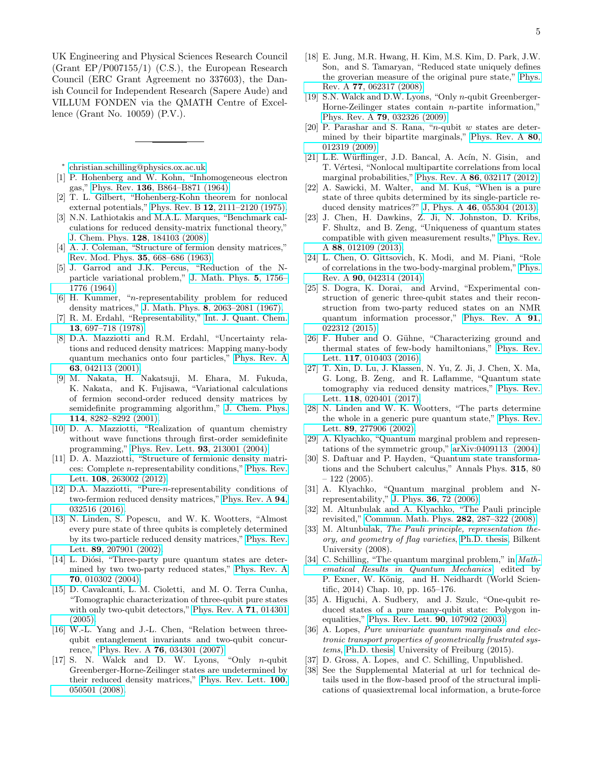UK Engineering and Physical Sciences Research Council (Grant EP/P007155/1) (C.S.), the European Research Council (ERC Grant Agreement no 337603), the Danish Council for Independent Research (Sapere Aude) and VILLUM FONDEN via the QMATH Centre of Excellence (Grant No. 10059) (P.V.).

<span id="page-4-0"></span>∗ [christian.schilling@physics.ox.ac.uk](mailto:christian.schilling@physics.ox.ac.uk)

- <span id="page-4-1"></span>[1] P. Hohenberg and W. Kohn, "Inhomogeneous electron gas," Phys. Rev. 136[, B864–B871 \(1964\).](http://dx.doi.org/10.1103/PhysRev.136.B864)
- <span id="page-4-2"></span>[2] T. L. Gilbert, "Hohenberg-Kohn theorem for nonlocal external potentials," Phys. Rev. B 12[, 2111–2120 \(1975\).](http://dx.doi.org/10.1103/PhysRevB.12.2111)
- <span id="page-4-3"></span>[3] N.N. Lathiotakis and M.A.L. Marques, "Benchmark calculations for reduced density-matrix functional theory," J. Chem. Phys. 128[, 184103 \(2008\).](http://dx.doi.org/10.1063/1.2899328)
- <span id="page-4-4"></span>[4] A. J. Coleman, "Structure of fermion density matrices," [Rev. Mod. Phys.](http://dx.doi.org/10.1103/RevModPhys.35.668) 35, 668–686 (1963).
- [5] J. Garrod and J.K. Percus, "Reduction of the Nparticle variational problem," [J. Math. Phys.](http://dx.doi.org/10.1063/1.1704098) 5, 1756– [1776 \(1964\).](http://dx.doi.org/10.1063/1.1704098)
- [6] H. Kummer, "n-representability problem for reduced density matrices," J. Math. Phys. 8[, 2063–2081 \(1967\).](http://dx.doi.org/10.1063/1.1705122)
- [7] R. M. Erdahl, "Representability," [Int. J. Quant. Chem.](http://dx.doi.org/10.1002/qua.560130603) 13[, 697–718 \(1978\).](http://dx.doi.org/10.1002/qua.560130603)
- [8] D.A. Mazziotti and R.M. Erdahl, "Uncertainty relations and reduced density matrices: Mapping many-body quantum mechanics onto four particles," [Phys. Rev. A](http://dx.doi.org/10.1103/PhysRevA.63.042113) 63[, 042113 \(2001\).](http://dx.doi.org/10.1103/PhysRevA.63.042113)
- [9] M. Nakata, H. Nakatsuji, M. Ehara, M. Fukuda, K. Nakata, and K. Fujisawa, "Variational calculations of fermion second-order reduced density matrices by semidefinite programming algorithm," [J. Chem. Phys.](http://dx.doi.org/ 10.1063/1.1360199) 114[, 8282–8292 \(2001\).](http://dx.doi.org/ 10.1063/1.1360199)
- [10] D. A. Mazziotti, "Realization of quantum chemistry without wave functions through first-order semidefinite programming," [Phys. Rev. Lett.](http://dx.doi.org/10.1103/PhysRevLett.93.213001) 93, 213001 (2004).
- [11] D. A. Mazziotti, "Structure of fermionic density matrices: Complete n-representability conditions," [Phys. Rev.](http://dx.doi.org/10.1103/PhysRevLett.108.263002) Lett. 108[, 263002 \(2012\).](http://dx.doi.org/10.1103/PhysRevLett.108.263002)
- <span id="page-4-5"></span>[12] D.A. Mazziotti, "Pure-n-representability conditions of two-fermion reduced density matrices," [Phys. Rev. A](http://dx.doi.org/10.1103/PhysRevA.94.032516) 94, [032516 \(2016\).](http://dx.doi.org/10.1103/PhysRevA.94.032516)
- <span id="page-4-6"></span>[13] N. Linden, S. Popescu, and W. K. Wootters, "Almost every pure state of three qubits is completely determined by its two-particle reduced density matrices," [Phys. Rev.](http://dx.doi.org/10.1103/PhysRevLett.89.207901) Lett. 89[, 207901 \(2002\).](http://dx.doi.org/10.1103/PhysRevLett.89.207901)
- [14] L. Diósi, "Three-party pure quantum states are determined by two two-party reduced states," [Phys. Rev. A](http://dx.doi.org/10.1103/PhysRevA.70.010302) 70[, 010302 \(2004\).](http://dx.doi.org/10.1103/PhysRevA.70.010302)
- [15] D. Cavalcanti, L. M. Cioletti, and M. O. Terra Cunha, "Tomographic characterization of three-qubit pure states with only two-qubit detectors," [Phys. Rev. A](http://dx.doi.org/10.1103/PhysRevA.71.014301) 71, 014301 [\(2005\).](http://dx.doi.org/10.1103/PhysRevA.71.014301)
- [16] W.-L. Yang and J.-L. Chen, "Relation between threequbit entanglement invariants and two-qubit concurrence," Phys. Rev. A 76[, 034301 \(2007\).](http://dx.doi.org/10.1103/PhysRevA.76.034301)
- [17] S. N. Walck and D. W. Lyons, "Only n-qubit Greenberger-Horne-Zeilinger states are undetermined by their reduced density matrices," [Phys. Rev. Lett.](http://dx.doi.org/10.1103/PhysRevLett.100.050501) 100, [050501 \(2008\).](http://dx.doi.org/10.1103/PhysRevLett.100.050501)
- [18] E. Jung, M.R. Hwang, H. Kim, M.S. Kim, D. Park, J.W. Son, and S. Tamaryan, "Reduced state uniquely defines the groverian measure of the original pure state," [Phys.](http://dx.doi.org/10.1103/PhysRevA.77.062317) Rev. A 77[, 062317 \(2008\).](http://dx.doi.org/10.1103/PhysRevA.77.062317)
- [19] S.N. Walck and D.W. Lyons, "Only *n*-qubit Greenberger-Horne-Zeilinger states contain  $n$ -partite information," Phys. Rev. A 79[, 032326 \(2009\).](http://dx.doi.org/10.1103/PhysRevA.79.032326)
- [20] P. Parashar and S. Rana, "*n*-qubit w states are determined by their bipartite marginals," [Phys. Rev. A](http://dx.doi.org/ 10.1103/PhysRevA.80.012319) 80, [012319 \(2009\).](http://dx.doi.org/ 10.1103/PhysRevA.80.012319)
- [21] L.E. Würflinger, J.D. Bancal, A. Acín, N. Gisin, and T. Vértesi, "Nonlocal multipartite correlations from local marginal probabilities," Phys. Rev. A 86[, 032117 \(2012\).](http://dx.doi.org/10.1103/PhysRevA.86.032117)
- [22] A. Sawicki, M. Walter, and M. Kus, "When is a pure state of three qubits determined by its single-particle reduced density matrices?" J, Phys. A 46[, 055304 \(2013\).](http://iopscience.iop.org/article/10.1088/1751-8113/46/5/055304)
- [23] J. Chen, H. Dawkins, Z. Ji, N. Johnston, D. Kribs, F. Shultz, and B. Zeng, "Uniqueness of quantum states compatible with given measurement results," [Phys. Rev.](http://dx.doi.org/10.1103/PhysRevA.88.012109) A 88[, 012109 \(2013\).](http://dx.doi.org/10.1103/PhysRevA.88.012109)
- [24] L. Chen, O. Gittsovich, K. Modi, and M. Piani, "Role of correlations in the two-body-marginal problem," [Phys.](http://dx.doi.org/10.1103/PhysRevA.90.042314) Rev. A 90[, 042314 \(2014\).](http://dx.doi.org/10.1103/PhysRevA.90.042314)
- [25] S. Dogra, K. Dorai, and Arvind, "Experimental construction of generic three-qubit states and their reconstruction from two-party reduced states on an NMR quantum information processor," [Phys. Rev. A](http://dx.doi.org/10.1103/PhysRevA.91.022312) 91, [022312 \(2015\).](http://dx.doi.org/10.1103/PhysRevA.91.022312)
- [26] F. Huber and O. Gühne, "Characterizing ground and thermal states of few-body hamiltonians," [Phys. Rev.](http://dx.doi.org/ 10.1103/PhysRevLett.117.010403) Lett. 117[, 010403 \(2016\).](http://dx.doi.org/ 10.1103/PhysRevLett.117.010403)
- <span id="page-4-7"></span>[27] T. Xin, D. Lu, J. Klassen, N. Yu, Z. Ji, J. Chen, X. Ma, G. Long, B. Zeng, and R. Laflamme, "Quantum state tomography via reduced density matrices," [Phys. Rev.](http://dx.doi.org/10.1103/PhysRevLett.118.020401) Lett. 118[, 020401 \(2017\).](http://dx.doi.org/10.1103/PhysRevLett.118.020401)
- <span id="page-4-8"></span>[28] N. Linden and W. K. Wootters, "The parts determine the whole in a generic pure quantum state," [Phys. Rev.](http://dx.doi.org/ 10.1103/PhysRevLett.89.277906) Lett. 89[, 277906 \(2002\).](http://dx.doi.org/ 10.1103/PhysRevLett.89.277906)
- <span id="page-4-9"></span>[29] A. Klyachko, "Quantum marginal problem and representations of the symmetric group," [arXiv:0409113 \(2004\).](http://arxiv.org/abs/0409113)
- [30] S. Daftuar and P. Hayden, "Quantum state transformations and the Schubert calculus," Annals Phys. 315, 80  $-122(2005)$ .
- [31] A. Klyachko, "Quantum marginal problem and Nrepresentability," J. Phys. 36[, 72 \(2006\).](http://stacks.iop.org/1742-6596/36/i=1/a=014)
- [32] M. Altunbulak and A. Klyachko, "The Pauli principle revisited," [Commun. Math. Phys.](http://dx.doi.org/10.1007/s00220-008-0552-z) 282, 287–322 (2008).
- <span id="page-4-10"></span>[33] M. Altunbulak, The Pauli principle, representation theory, and geometry of flag varieties, [Ph.D. thesis,](http://www.thesis.bilkent.edu.tr/0003572) Bilkent University (2008).
- <span id="page-4-11"></span>[34] C. Schilling, "The quantum marginal problem," in *Math*[ematical Results in Quantum Mechanics](http://dx.doi.org/10.1142/9789814618144_0010), edited by P. Exner, W. König, and H. Neidhardt (World Scientific, 2014) Chap. 10, pp. 165–176.
- <span id="page-4-12"></span>[35] A. Higuchi, A. Sudbery, and J. Szulc, "One-qubit reduced states of a pure many-qubit state: Polygon inequalities," [Phys. Rev. Lett.](http://dx.doi.org/ 10.1103/PhysRevLett.90.107902) 90, 107902 (2003).
- <span id="page-4-13"></span>[36] A. Lopes, Pure univariate quantum marginals and electronic transport properties of geometrically frustrated systems, [Ph.D. thesis,](https://www.freidok.uni-freiburg.de/fedora/objects/freidok:10057/datastreams/FILE1/content) University of Freiburg (2015).
- <span id="page-4-14"></span>[37] D. Gross, A. Lopes, and C. Schilling, Unpublished.<br>[38] See the Supplemental Material at url for technical
- <span id="page-4-15"></span>See the Supplemental Material at url for technical details used in the flow-based proof of the structural implications of quasiextremal local information, a brute-force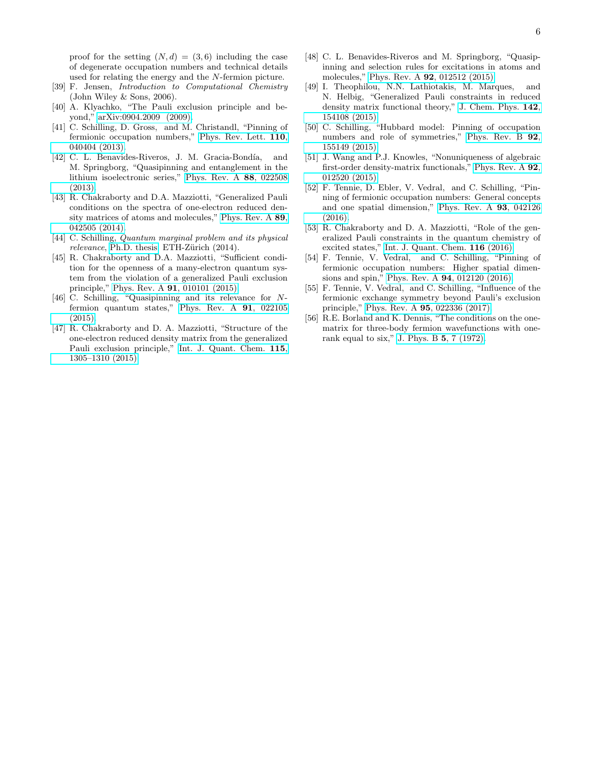proof for the setting  $(N, d) = (3, 6)$  including the case of degenerate occupation numbers and technical details used for relating the energy and the N-fermion picture.

- <span id="page-5-0"></span>[39] F. Jensen, Introduction to Computational Chemistry (John Wiley & Sons, 2006).
- <span id="page-5-1"></span>[40] A. Klyachko, "The Pauli exclusion principle and beyond," [arXiv:0904.2009 \(2009\).](http://arxiv.org/abs/0904.2009)
- [41] C. Schilling, D. Gross, and M. Christandl, "Pinning of fermionic occupation numbers," [Phys. Rev. Lett.](http://dx.doi.org/10.1103/PhysRevLett.110.040404) 110, [040404 \(2013\).](http://dx.doi.org/10.1103/PhysRevLett.110.040404)
- [42] C. L. Benavides-Riveros, J. M. Gracia-Bondía, and M. Springborg, "Quasipinning and entanglement in the lithium isoelectronic series," [Phys. Rev. A](http://dx.doi.org/10.1103/PhysRevA.88.022508) 88, 022508 [\(2013\).](http://dx.doi.org/10.1103/PhysRevA.88.022508)
- [43] R. Chakraborty and D.A. Mazziotti, "Generalized Pauli conditions on the spectra of one-electron reduced density matrices of atoms and molecules," [Phys. Rev. A](http://dx.doi.org/10.1103/PhysRevA.89.042505) 89, [042505 \(2014\).](http://dx.doi.org/10.1103/PhysRevA.89.042505)
- [44] C. Schilling, *Quantum marginal problem and its physical* relevance, [Ph.D. thesis,](http://dx.doi.org/10.3929/ethz-a-010139282) ETH-Zürich (2014).
- [45] R. Chakraborty and D.A. Mazziotti, "Sufficient condition for the openness of a many-electron quantum system from the violation of a generalized Pauli exclusion principle," Phys. Rev. A 91[, 010101 \(2015\).](http://dx.doi.org/ 10.1103/PhysRevA.91.010101)
- <span id="page-5-5"></span>[46] C. Schilling, "Quasipinning and its relevance for Nfermion quantum states," [Phys. Rev. A](http://dx.doi.org/ 10.1103/PhysRevA.91.022105) 91, 022105  $(2015).$
- [47] R. Chakraborty and D. A. Mazziotti, "Structure of the one-electron reduced density matrix from the generalized Pauli exclusion principle," [Int. J. Quant. Chem.](http://dx.doi.org/10.1002/qua.24934) 115, [1305–1310 \(2015\).](http://dx.doi.org/10.1002/qua.24934)
- [48] C. L. Benavides-Riveros and M. Springborg, "Quasipinning and selection rules for excitations in atoms and molecules," Phys. Rev. A 92[, 012512 \(2015\).](http://dx.doi.org/10.1103/PhysRevA.92.012512)
- <span id="page-5-3"></span>[49] I. Theophilou, N.N. Lathiotakis, M. Marques, and N. Helbig, "Generalized Pauli constraints in reduced density matrix functional theory," [J. Chem. Phys.](http://scitation.aip.org/content/aip/journal/jcp/142/15/10.1063/1.4918346) 142, [154108 \(2015\).](http://scitation.aip.org/content/aip/journal/jcp/142/15/10.1063/1.4918346)
- [50] C. Schilling, "Hubbard model: Pinning of occupation numbers and role of symmetries," [Phys. Rev. B](http://dx.doi.org/10.1103/PhysRevB.92.155149) 92, [155149 \(2015\).](http://dx.doi.org/10.1103/PhysRevB.92.155149)
- [51] J. Wang and P.J. Knowles, "Nonuniqueness of algebraic first-order density-matrix functionals," [Phys. Rev. A](http://dx.doi.org/ 10.1103/PhysRevA.92.012520) 92, [012520 \(2015\).](http://dx.doi.org/ 10.1103/PhysRevA.92.012520)
- [52] F. Tennie, D. Ebler, V. Vedral, and C. Schilling, "Pinning of fermionic occupation numbers: General concepts and one spatial dimension," [Phys. Rev. A](http://dx.doi.org/ 10.1103/PhysRevA.93.042126) 93, 042126 [\(2016\).](http://dx.doi.org/ 10.1103/PhysRevA.93.042126)
- [53] R. Chakraborty and D. A. Mazziotti, "Role of the generalized Pauli constraints in the quantum chemistry of excited states," [Int. J. Quant. Chem.](http://dx.doi.org/10.1002/qua.25120) 116 (2016).
- [54] F. Tennie, V. Vedral, and C. Schilling, "Pinning of fermionic occupation numbers: Higher spatial dimensions and spin," Phys. Rev. A 94[, 012120 \(2016\).](http://dx.doi.org/ 10.1103/PhysRevA.94.012120)
- <span id="page-5-2"></span>[55] F. Tennie, V. Vedral, and C. Schilling, "Influence of the fermionic exchange symmetry beyond Pauli's exclusion principle," Phys. Rev. A 95[, 022336 \(2017\).](http://dx.doi.org/ 10.1103/PhysRevA.95.022336)
- <span id="page-5-4"></span>[56] R.E. Borland and K. Dennis, "The conditions on the onematrix for three-body fermion wavefunctions with onerank equal to six," [J. Phys. B](http://stacks.iop.org/0022-3700/5/i=1/a=009) 5, 7 (1972).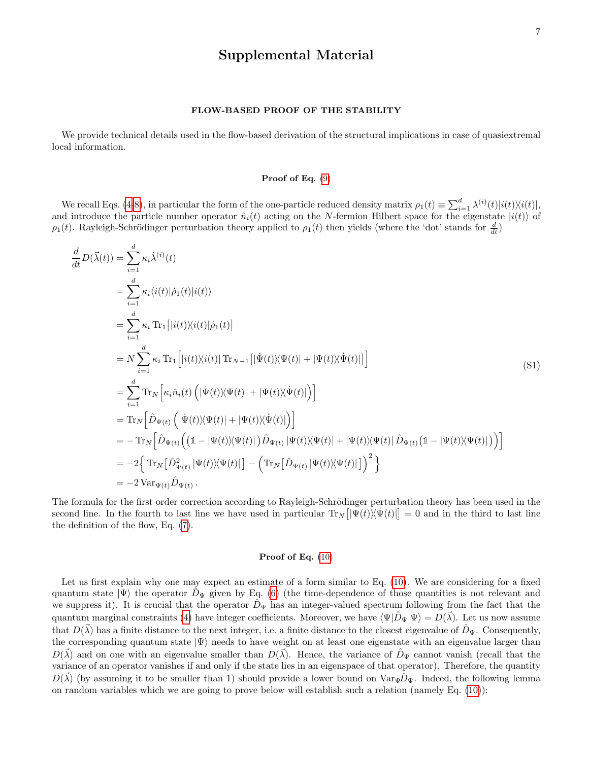# Supplemental Material

### FLOW-BASED PROOF OF THE STABILITY

We provide technical details used in the flow-based derivation of the structural implications in case of quasiextremal local information.

### Proof of Eq.  $(9)$

We recall Eqs. [\(4-](#page-1-6)[8\)](#page-1-7), in particular the form of the one-particle reduced density matrix  $\rho_1(t) \equiv \sum_{i=1}^d \lambda^{(i)}(t) |i(t)\rangle\langle i(t)|$ , and introduce the particle number operator  $\hat{n}_i(t)$  acting on the N-fermion Hilbert space for the eigenstate  $|i(t)\rangle$  of  $\rho_1(t)$ . Rayleigh-Schrödinger perturbation theory applied to  $\rho_1(t)$  then yields (where the 'dot' stands for  $\frac{d}{dt}$ )

$$
\frac{d}{dt}D(\vec{\lambda}(t)) = \sum_{i=1}^{d} \kappa_{i} \dot{\lambda}^{(i)}(t)
$$
\n
$$
= \sum_{i=1}^{d} \kappa_{i} \langle i(t)|\dot{\rho}_{1}(t)|i(t)\rangle
$$
\n
$$
= \sum_{i=1}^{d} \kappa_{i} \operatorname{Tr}_{1}[|i(t)\rangle\langle i(t)|\dot{\rho}_{1}(t)]
$$
\n
$$
= N \sum_{i=1}^{d} \kappa_{i} \operatorname{Tr}_{1}[|i(t)\rangle\langle i(t)| \operatorname{Tr}_{N-1}[|\dot{\Psi}(t)\rangle\langle \Psi(t)| + |\Psi(t)\rangle\langle \dot{\Psi}(t)|]\big]
$$
\n
$$
= \sum_{i=1}^{d} \operatorname{Tr}_{N}[\kappa_{i} \hat{n}_{i}(t) (|\dot{\Psi}(t)\rangle\langle \Psi(t)| + |\Psi(t)\rangle\langle \dot{\Psi}(t)|)]
$$
\n
$$
= \operatorname{Tr}_{N}[\hat{D}_{\Psi(t)} (|\dot{\Psi}(t)\rangle\langle \Psi(t)| + |\Psi(t)\rangle\langle \dot{\Psi}(t)|)]
$$
\n
$$
= - \operatorname{Tr}_{N}[\hat{D}_{\Psi(t)} ((\mathbb{1} - |\Psi(t)\rangle\langle \Psi(t)|) \hat{D}_{\Psi(t)} |\Psi(t)\rangle\langle \Psi(t)| + |\Psi(t)\rangle\langle \Psi(t)| \hat{D}_{\Psi(t)} (\mathbb{1} - |\Psi(t)\rangle\langle \Psi(t)|))]
$$
\n
$$
= -2\{\operatorname{Tr}_{N}[\hat{D}_{\Psi(t)}^{2} |\Psi(t)\rangle\langle \Psi(t)|] - (\operatorname{Tr}_{N}[\hat{D}_{\Psi(t)} |\Psi(t)\rangle\langle \Psi(t)|])^{2}\}
$$
\n
$$
= -2 \operatorname{Var}_{\Psi(t)}\hat{D}_{\Psi(t)}.
$$
\n(1)

The formula for the first order correction according to Rayleigh-Schrödinger perturbation theory has been used in the second line. In the fourth to last line we have used in particular  $Tr_N[|\Psi(t)\rangle\langle\Psi(t)|] = 0$  and in the third to last line the definition of the flow, Eq. [\(7\)](#page-1-3).

### Proof of Eq.  $(10)$

Let us first explain why one may expect an estimate of a form similar to Eq. [\(10\)](#page-2-5). We are considering for a fixed quantum state  $|\Psi\rangle$  the operator  $D_{\Psi}$  given by Eq. [\(6\)](#page-1-4) (the time-dependence of those quantities is not relevant and we suppress it). It is crucial that the operator  $D_{\Psi}$  has an integer-valued spectrum following from the fact that the quantum marginal constraints [\(4\)](#page-1-6) have integer coefficients. Moreover, we have  $\langle \Psi | \hat{D}_{\Psi} | \Psi \rangle = D(\vec{\lambda})$ . Let us now assume that  $D(\vec{\lambda})$  has a finite distance to the next integer, i.e. a finite distance to the closest eigenvalue of  $\hat{D}_{\Psi}$ . Consequently, the corresponding quantum state  $|\Psi\rangle$  needs to have weight on at least one eigenstate with an eigenvalue larger than  $D(\vec{\lambda})$  and on one with an eigenvalue smaller than  $D(\vec{\lambda})$ . Hence, the variance of  $\hat{D}_{\Psi}$  cannot vanish (recall that the variance of an operator vanishes if and only if the state lies in an eigenspace of that operator). Therefore, the quantity  $D(\vec{\lambda})$  (by assuming it to be smaller than 1) should provide a lower bound on  $Var_{\Psi}\hat{D}_{\Psi}$ . Indeed, the following lemma on random variables which we are going to prove below will establish such a relation (namely Eq. [\(10\)](#page-2-5)):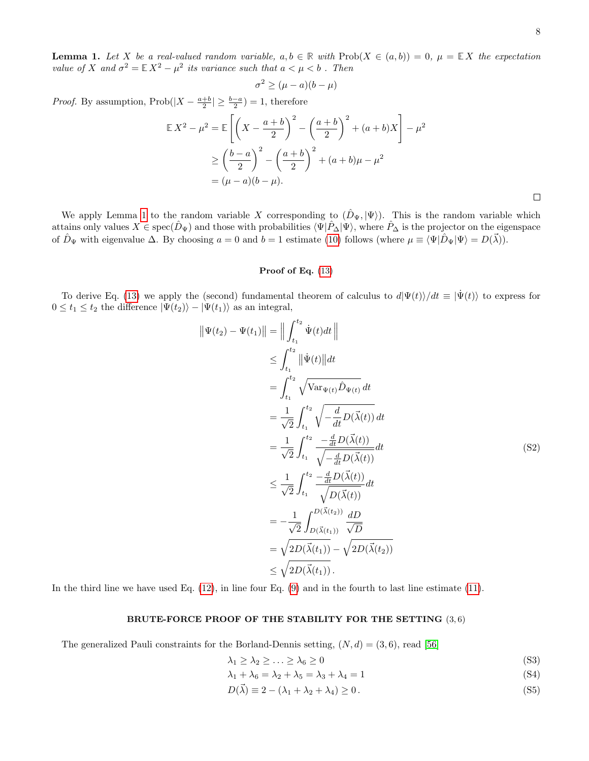8

 $\Box$ 

<span id="page-7-0"></span>**Lemma 1.** Let X be a real-valued random variable,  $a, b \in \mathbb{R}$  with  $\text{Prob}(X \in (a, b)) = 0$ ,  $\mu = \mathbb{E}[X]$  the expectation value of X and  $\sigma^2 = \mathbb{E} X^2 - \mu^2$  its variance such that  $a < \mu < b$ . Then

$$
\sigma^2 \ge (\mu - a)(b - \mu)
$$

*Proof.* By assumption,  $\text{Prob}(|X - \frac{a+b}{2}| \geq \frac{b-a}{2}) = 1$ , therefore

$$
\mathbb{E}X^2 - \mu^2 = \mathbb{E}\left[\left(X - \frac{a+b}{2}\right)^2 - \left(\frac{a+b}{2}\right)^2 + (a+b)X\right] - \mu^2
$$
  
\n
$$
\geq \left(\frac{b-a}{2}\right)^2 - \left(\frac{a+b}{2}\right)^2 + (a+b)\mu - \mu^2
$$
  
\n
$$
= (\mu - a)(b - \mu).
$$

We apply Lemma [1](#page-7-0) to the random variable X corresponding to  $(\hat{D}_{\Psi}, |\Psi\rangle)$ . This is the random variable which attains only values  $X \in \text{spec}(\hat{D}_{\Psi})$  and those with probabilities  $\langle \Psi | \hat{P}_{\Delta} | \Psi \rangle$ , where  $\hat{P}_{\Delta}$  is the projector on the eigenspace of  $\hat{D}_{\Psi}$  with eigenvalue  $\Delta$ . By choosing  $a = 0$  and  $b = 1$  estimate [\(10\)](#page-2-5) follows (where  $\mu \equiv \langle \Psi | \hat{D}_{\Psi} | \Psi \rangle = D(\vec{\lambda})$ ).

### Proof of Eq.  $(13)$

To derive Eq. [\(13\)](#page-2-2) we apply the (second) fundamental theorem of calculus to  $d|\Psi(t)\rangle/dt \equiv |\dot{\Psi}(t)\rangle$  to express for  $0 \le t_1 \le t_2$  the difference  $|\Psi(t_2)\rangle - |\Psi(t_1)\rangle$  as an integral,

$$
\|\Psi(t_2) - \Psi(t_1)\| = \left\| \int_{t_1}^{t_2} \dot{\Psi}(t) dt \right\|
$$
  
\n
$$
\leq \int_{t_1}^{t_2} \|\dot{\Psi}(t)\| dt
$$
  
\n
$$
= \int_{t_1}^{t_2} \sqrt{\text{Var}_{\Psi(t)} \hat{D}_{\Psi(t)}} dt
$$
  
\n
$$
= \frac{1}{\sqrt{2}} \int_{t_1}^{t_2} \sqrt{-\frac{d}{dt} D(\vec{\lambda}(t))} dt
$$
  
\n
$$
= \frac{1}{\sqrt{2}} \int_{t_1}^{t_2} \frac{-\frac{d}{dt} D(\vec{\lambda}(t))}{\sqrt{-\frac{d}{dt} D(\vec{\lambda}(t))}} dt
$$
  
\n
$$
\leq \frac{1}{\sqrt{2}} \int_{t_1}^{t_2} \frac{-\frac{d}{dt} D(\vec{\lambda}(t))}{\sqrt{D(\vec{\lambda}(t))}} dt
$$
  
\n
$$
= -\frac{1}{\sqrt{2}} \int_{D(\vec{\lambda}(t_1))}^{D(\vec{\lambda}(t_2))} \frac{dD}{\sqrt{D}}
$$
  
\n
$$
= \sqrt{2D(\vec{\lambda}(t_1))} - \sqrt{2D(\vec{\lambda}(t_2))}
$$
  
\n
$$
\leq \sqrt{2D(\vec{\lambda}(t_1))}.
$$
  
\n(52)

In the third line we have used Eq. [\(12\)](#page-2-1), in line four Eq. [\(9\)](#page-1-2) and in the fourth to last line estimate [\(11\)](#page-2-0).

## BRUTE-FORCE PROOF OF THE STABILITY FOR THE SETTING  $(3,6)$

The generalized Pauli constraints for the Borland-Dennis setting,  $(N, d) = (3, 6)$ , read [\[56\]](#page-5-4)

$$
\lambda_1 \ge \lambda_2 \ge \ldots \ge \lambda_6 \ge 0 \tag{S3}
$$

$$
\lambda_1 + \lambda_6 = \lambda_2 + \lambda_5 = \lambda_3 + \lambda_4 = 1 \tag{S4}
$$

$$
D(\vec{\lambda}) \equiv 2 - (\lambda_1 + \lambda_2 + \lambda_4) \ge 0.
$$
 (S5)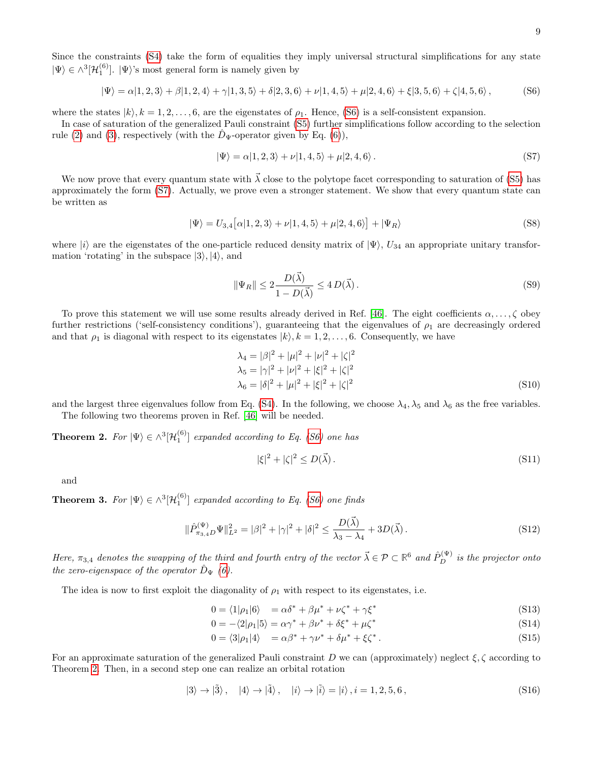Since the constraints [\(S4\)](#page-1-1) take the form of equalities they imply universal structural simplifications for any state  $|\Psi\rangle \in \wedge^3[\mathcal{H}_1^{(6)}]$ .  $|\Psi\rangle$ 's most general form is namely given by

$$
|\Psi\rangle = \alpha|1,2,3\rangle + \beta|1,2,4\rangle + \gamma|1,3,5\rangle + \delta|2,3,6\rangle + \nu|1,4,5\rangle + \mu|2,4,6\rangle + \xi|3,5,6\rangle + \zeta|4,5,6\rangle, \tag{S6}
$$

where the states  $|k\rangle$ ,  $k = 1, 2, ..., 6$ , are the eigenstates of  $\rho_1$ . Hence, [\(S6\)](#page-1-4) is a self-consistent expansion.

In case of saturation of the generalized Pauli constraint [\(S5\)](#page-1-1) further simplifications follow according to the selection rule [\(2\)](#page-1-0) and [\(3\)](#page-1-1), respectively (with the  $\bar{D}_{\Psi}$ -operator given by Eq. [\(6\)](#page-1-4)),

$$
|\Psi\rangle = \alpha|1,2,3\rangle + \nu|1,4,5\rangle + \mu|2,4,6\rangle. \tag{S7}
$$

We now prove that every quantum state with  $\vec{\lambda}$  close to the polytope facet corresponding to saturation of [\(S5\)](#page-1-1) has approximately the form [\(S7\)](#page-1-3). Actually, we prove even a stronger statement. We show that every quantum state can be written as

$$
|\Psi\rangle = U_{3,4}[\alpha|1,2,3\rangle + \nu|1,4,5\rangle + \mu|2,4,6\rangle + |\Psi_R\rangle
$$
 (S8)

where  $|i\rangle$  are the eigenstates of the one-particle reduced density matrix of  $|\Psi\rangle$ ,  $U_{34}$  an appropriate unitary transformation 'rotating' in the subspace  $|3\rangle, |4\rangle$ , and

$$
\|\Psi_R\| \le 2 \frac{D(\vec{\lambda})}{1 - D(\vec{\lambda})} \le 4 D(\vec{\lambda}).
$$
\n(S9)

To prove this statement we will use some results already derived in Ref. [\[46\]](#page-5-5). The eight coefficients  $\alpha, \ldots, \zeta$  obey further restrictions ('self-consistency conditions'), guaranteeing that the eigenvalues of  $\rho_1$  are decreasingly ordered and that  $\rho_1$  is diagonal with respect to its eigenstates  $|k\rangle$ ,  $k = 1, 2, \ldots, 6$ . Consequently, we have

$$
\lambda_4 = |\beta|^2 + |\mu|^2 + |\nu|^2 + |\zeta|^2
$$
  
\n
$$
\lambda_5 = |\gamma|^2 + |\nu|^2 + |\xi|^2 + |\zeta|^2
$$
  
\n
$$
\lambda_6 = |\delta|^2 + |\mu|^2 + |\xi|^2 + |\zeta|^2
$$
\n(S10)

and the largest three eigenvalues follow from Eq. [\(S4\)](#page-1-1). In the following, we choose  $\lambda_4$ ,  $\lambda_5$  and  $\lambda_6$  as the free variables. The following two theorems proven in Ref. [\[46\]](#page-5-5) will be needed.

<span id="page-8-0"></span>**Theorem 2.** For  $|\Psi\rangle \in \wedge^3[\mathcal{H}_1^{(6)}]$  expanded according to Eq. [\(S6\)](#page-1-4) one has

$$
|\xi|^2 + |\zeta|^2 \le D(\vec{\lambda}).\tag{S11}
$$

and

**Theorem 3.** For  $|\Psi\rangle \in \wedge^3[\mathcal{H}_1^{(6)}]$  expanded according to Eq. [\(S6\)](#page-1-4) one finds

$$
\|\hat{P}_{\pi_{3,4D}}^{(\Psi)}\Psi\|_{L^2}^2 = |\beta|^2 + |\gamma|^2 + |\delta|^2 \le \frac{D(\vec{\lambda})}{\lambda_3 - \lambda_4} + 3D(\vec{\lambda}).\tag{S12}
$$

Here,  $\pi_{3,4}$  denotes the swapping of the third and fourth entry of the vector  $\vec{\lambda} \in \mathcal{P} \subset \mathbb{R}^6$  and  $\hat{P}_{D}^{(\Psi)}$  is the projector onto the zero-eigenspace of the operator  $\hat{D}_{\Psi}$  [\(6\)](#page-1-4).

The idea is now to first exploit the diagonality of  $\rho_1$  with respect to its eigenstates, i.e.

$$
0 = \langle 1 | \rho_1 | 6 \rangle = \alpha \delta^* + \beta \mu^* + \nu \zeta^* + \gamma \xi^* \tag{S13}
$$

$$
0 = -\langle 2|\rho_1|5\rangle = \alpha \gamma^* + \beta \nu^* + \delta \xi^* + \mu \zeta^* \tag{S14}
$$

$$
0 = \langle 3|\rho_1|4\rangle = \alpha\beta^* + \gamma\nu^* + \delta\mu^* + \xi\zeta^*.
$$
 (S15)

For an approximate saturation of the generalized Pauli constraint D we can (approximately) neglect  $\xi, \zeta$  according to Theorem [2.](#page-8-0) Then, in a second step one can realize an orbital rotation

$$
|3\rangle \rightarrow |\tilde{3}\rangle, \quad |4\rangle \rightarrow |\tilde{4}\rangle, \quad |i\rangle \rightarrow |\tilde{i}\rangle = |i\rangle, i = 1, 2, 5, 6,
$$
 (S16)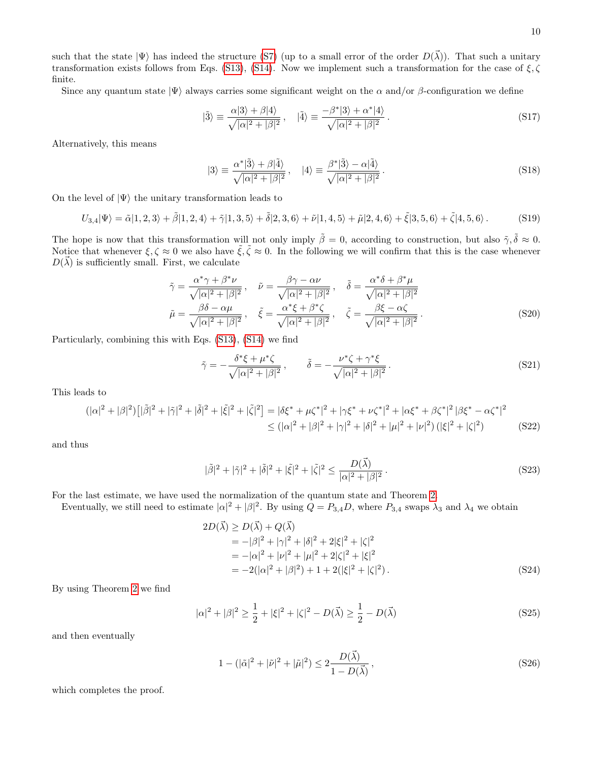Since any quantum state  $|\Psi\rangle$  always carries some significant weight on the  $\alpha$  and/or  $\beta$ -configuration we define

$$
|\tilde{3}\rangle \equiv \frac{\alpha|3\rangle + \beta|4\rangle}{\sqrt{|\alpha|^2 + |\beta|^2}}, \quad |\tilde{4}\rangle \equiv \frac{-\beta^*|3\rangle + \alpha^*|4\rangle}{\sqrt{|\alpha|^2 + |\beta|^2}}.
$$
 (S17)

Alternatively, this means

$$
|3\rangle \equiv \frac{\alpha^*|\tilde{3}\rangle + \beta|\tilde{4}\rangle}{\sqrt{|\alpha|^2 + |\beta|^2}}, \quad |4\rangle \equiv \frac{\beta^*|\tilde{3}\rangle - \alpha|\tilde{4}\rangle}{\sqrt{|\alpha|^2 + |\beta|^2}}.
$$
 (S18)

On the level of  $|\Psi\rangle$  the unitary transformation leads to

$$
U_{3,4}|\Psi\rangle = \tilde{\alpha}|1,2,3\rangle + \tilde{\beta}|1,2,4\rangle + \tilde{\gamma}|1,3,5\rangle + \tilde{\delta}|2,3,6\rangle + \tilde{\nu}|1,4,5\rangle + \tilde{\mu}|2,4,6\rangle + \tilde{\xi}|3,5,6\rangle + \tilde{\zeta}|4,5,6\rangle. \tag{S19}
$$

The hope is now that this transformation will not only imply  $\tilde{\beta} = 0$ , according to construction, but also  $\tilde{\gamma}, \tilde{\delta} \approx 0$ . Notice that whenever  $\xi, \zeta \approx 0$  we also have  $\tilde{\xi}, \tilde{\zeta} \approx 0$ . In the following we will confirm that this is the case whenever  $D(\vec{\lambda})$  is sufficiently small. First, we calculate

$$
\tilde{\gamma} = \frac{\alpha^* \gamma + \beta^* \nu}{\sqrt{|\alpha|^2 + |\beta|^2}}, \quad \tilde{\nu} = \frac{\beta \gamma - \alpha \nu}{\sqrt{|\alpha|^2 + |\beta|^2}}, \quad \tilde{\delta} = \frac{\alpha^* \delta + \beta^* \mu}{\sqrt{|\alpha|^2 + |\beta|^2}}
$$
\n
$$
\tilde{\mu} = \frac{\beta \delta - \alpha \mu}{\sqrt{|\alpha|^2 + |\beta|^2}}, \quad \tilde{\xi} = \frac{\alpha^* \xi + \beta^* \zeta}{\sqrt{|\alpha|^2 + |\beta|^2}}, \quad \tilde{\zeta} = \frac{\beta \xi - \alpha \zeta}{\sqrt{|\alpha|^2 + |\beta|^2}}.
$$
\n(S20)

Particularly, combining this with Eqs. [\(S13\)](#page-2-2), [\(S14\)](#page-2-2) we find

$$
\tilde{\gamma} = -\frac{\delta^* \xi + \mu^* \zeta}{\sqrt{|\alpha|^2 + |\beta|^2}}, \qquad \tilde{\delta} = -\frac{\nu^* \zeta + \gamma^* \xi}{\sqrt{|\alpha|^2 + |\beta|^2}}.
$$
\n(S21)

This leads to

$$
(|\alpha|^2 + |\beta|^2) \left[|\tilde{\beta}|^2 + |\tilde{\gamma}|^2 + |\tilde{\delta}|^2 + |\tilde{\xi}|^2 + |\tilde{\zeta}|^2\right] = |\delta\xi^* + \mu\zeta^*|^2 + |\gamma\xi^* + \nu\zeta^*|^2 + |\alpha\xi^* + \beta\zeta^*|^2 |\beta\xi^* - \alpha\zeta^*|^2
$$
  
 
$$
\leq (|\alpha|^2 + |\beta|^2 + |\gamma|^2 + |\delta|^2 + |\mu|^2 + |\nu|^2) (|\xi|^2 + |\zeta|^2)
$$
 (S22)

and thus

$$
|\tilde{\beta}|^2 + |\tilde{\gamma}|^2 + |\tilde{\delta}|^2 + |\tilde{\xi}|^2 + |\tilde{\zeta}|^2 \le \frac{D(\vec{\lambda})}{|\alpha|^2 + |\beta|^2}.
$$
 (S23)

For the last estimate, we have used the normalization of the quantum state and Theorem [2.](#page-8-0)

Eventually, we still need to estimate  $|\alpha|^2 + |\beta|^2$ . By using  $Q = P_{3,4}D$ , where  $P_{3,4}$  swaps  $\lambda_3$  and  $\lambda_4$  we obtain

$$
2D(\vec{\lambda}) \ge D(\vec{\lambda}) + Q(\vec{\lambda})
$$
  
= -|\beta|^2 + |\gamma|^2 + |\delta|^2 + 2|\xi|^2 + |\zeta|^2  
= -|\alpha|^2 + |\nu|^2 + |\mu|^2 + 2|\zeta|^2 + |\xi|^2  
= -2(|\alpha|^2 + |\beta|^2) + 1 + 2(|\xi|^2 + |\zeta|^2). (S24)

By using Theorem [2](#page-8-0) we find

$$
|\alpha|^2 + |\beta|^2 \ge \frac{1}{2} + |\xi|^2 + |\zeta|^2 - D(\vec{\lambda}) \ge \frac{1}{2} - D(\vec{\lambda})
$$
 (S25)

and then eventually

$$
1 - (|\tilde{\alpha}|^2 + |\tilde{\nu}|^2 + |\tilde{\mu}|^2) \le 2 \frac{D(\vec{\lambda})}{1 - D(\vec{\lambda})},
$$
\n(S26)

which completes the proof.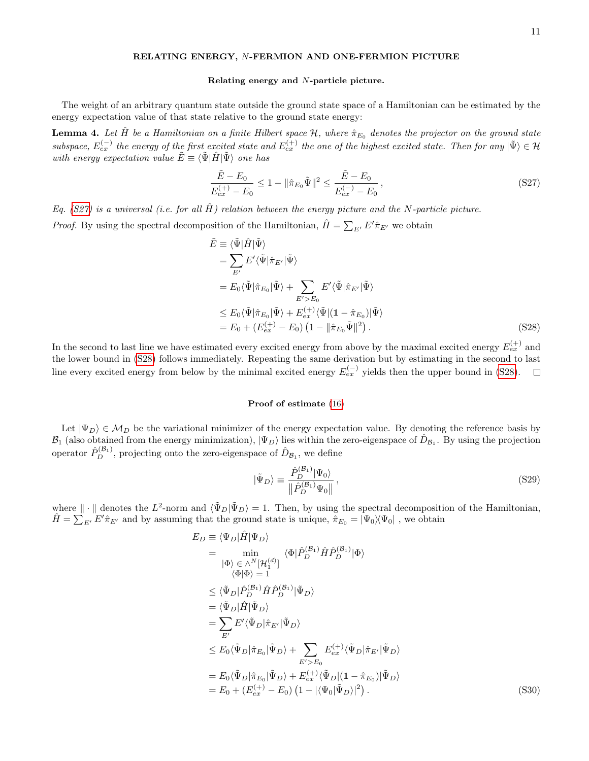### RELATING ENERGY, N-FERMION AND ONE-FERMION PICTURE

### Relating energy and N-particle picture.

The weight of an arbitrary quantum state outside the ground state space of a Hamiltonian can be estimated by the energy expectation value of that state relative to the ground state energy:

<span id="page-10-0"></span>**Lemma 4.** Let  $\hat{H}$  be a Hamiltonian on a finite Hilbert space  $\mathcal{H}$ , where  $\hat{\pi}_{E_0}$  denotes the projector on the ground state subspace,  $E_{ex}^{(-)}$  the energy of the first excited state and  $E_{ex}^{(+)}$  the one of the highest excited state. Then for any  $|\tilde{\Psi}\rangle \in \mathcal{H}$ with energy expectation value  $\tilde{E} \equiv \langle \tilde{\Psi} | \hat{H} | \tilde{\Psi} \rangle$  one has

<span id="page-10-1"></span>
$$
\frac{\tilde{E} - E_0}{E_{ex}^{(+)} - E_0} \le 1 - \|\hat{\pi}_{E_0}\tilde{\Psi}\|^2 \le \frac{\tilde{E} - E_0}{E_{ex}^{(-)} - E_0},\tag{S27}
$$

Eq. [\(S27\)](#page-10-1) is a universal (i.e. for all  $\hat{H}$ ) relation between the energy picture and the N-particle picture.

*Proof.* By using the spectral decomposition of the Hamiltonian,  $\hat{H} = \sum_{E'} E' \hat{\pi}_{E'}$  we obtain

<span id="page-10-2"></span>
$$
\tilde{E} \equiv \langle \tilde{\Psi} | \hat{H} | \tilde{\Psi} \rangle \n= \sum_{E'} E' \langle \tilde{\Psi} | \hat{\pi}_{E'} | \tilde{\Psi} \rangle \n= E_0 \langle \tilde{\Psi} | \hat{\pi}_{E_0} | \tilde{\Psi} \rangle + \sum_{E' > E_0} E' \langle \tilde{\Psi} | \hat{\pi}_{E'} | \tilde{\Psi} \rangle \n\le E_0 \langle \tilde{\Psi} | \hat{\pi}_{E_0} | \tilde{\Psi} \rangle + E_{ex}^{(+)} \langle \tilde{\Psi} | (\mathbb{1} - \hat{\pi}_{E_0}) | \tilde{\Psi} \rangle \n= E_0 + (E_{ex}^{(+)} - E_0) (1 - || \hat{\pi}_{E_0} \tilde{\Psi} ||^2).
$$
\n(S28)

In the second to last line we have estimated every excited energy from above by the maximal excited energy  $E_{ex}^{(+)}$  and the lower bound in [\(S28\)](#page-10-2) follows immediately. Repeating the same derivation but by estimating in the second to last line every excited energy from below by the minimal excited energy  $E_{ex}^{(-)}$  yields then the upper bound in [\(S28\)](#page-10-2).  $\Box$ 

### Proof of estimate [\(16\)](#page-3-1)

Let  $|\Psi_D\rangle \in M_D$  be the variational minimizer of the energy expectation value. By denoting the reference basis by  $B_1$  (also obtained from the energy minimization),  $|\Psi_D\rangle$  lies within the zero-eigenspace of  $\hat{D}_{B_1}$ . By using the projection operator  $\hat{P}_{D}^{(\mathcal{B}_1)}$ , projecting onto the zero-eigenspace of  $\hat{D}_{\mathcal{B}_1}$ , we define

$$
|\tilde{\Psi}_D\rangle \equiv \frac{\hat{P}_D^{(\mathcal{B}_1)}|\Psi_0\rangle}{\left\|\hat{P}_D^{(\mathcal{B}_1)}\Psi_0\right\|},\tag{S29}
$$

where  $\|\cdot\|$  denotes the  $L^2$ -norm and  $\langle \tilde{\Psi}_D | \tilde{\Psi}_D \rangle = 1$ . Then, by using the spectral decomposition of the Hamiltonian,  $\hat{H} = \sum_{E'}^{\dagger} E' \hat{\pi}_{E'}$  and by assuming that the ground state is unique,  $\hat{\pi}_{E_0} = |\Psi_0\rangle |\Psi_0|$ , we obtain

<span id="page-10-3"></span>
$$
E_D \equiv \langle \Psi_D | \hat{H} | \Psi_D \rangle
$$
  
\n
$$
= \min_{|\Phi\rangle \in \wedge^N [\mathcal{H}_1^{(d)}]} \langle \Phi | \hat{P}_D^{(\mathcal{B}_1)} \hat{H} \hat{P}_D^{(\mathcal{B}_1)} | \Phi \rangle
$$
  
\n
$$
\langle \Phi | \Phi \rangle = 1
$$
  
\n
$$
\leq \langle \tilde{\Psi}_D | \hat{P}_D^{(\mathcal{B}_1)} \hat{H} \hat{P}_D^{(\mathcal{B}_1)} | \tilde{\Psi}_D \rangle
$$
  
\n
$$
= \langle \tilde{\Psi}_D | \hat{H} | \tilde{\Psi}_D \rangle
$$
  
\n
$$
= \sum_{E'} E' \langle \tilde{\Psi}_D | \hat{\pi}_{E'} | \tilde{\Psi}_D \rangle
$$
  
\n
$$
\leq E_0 \langle \tilde{\Psi}_D | \hat{\pi}_{E_0} | \tilde{\Psi}_D \rangle + \sum_{E' > E_0} E_{ex}^{(+)} \langle \tilde{\Psi}_D | \hat{\pi}_{E'} | \tilde{\Psi}_D \rangle
$$
  
\n
$$
= E_0 \langle \tilde{\Psi}_D | \hat{\pi}_{E_0} | \tilde{\Psi}_D \rangle + E_{ex}^{(+)} \langle \tilde{\Psi}_D | (1 - \hat{\pi}_{E_0}) | \tilde{\Psi}_D \rangle
$$
  
\n
$$
= E_0 + (E_{ex}^{(+)} - E_0) (1 - |\langle \Psi_0 | \tilde{\Psi}_D \rangle|^2).
$$
 (S30)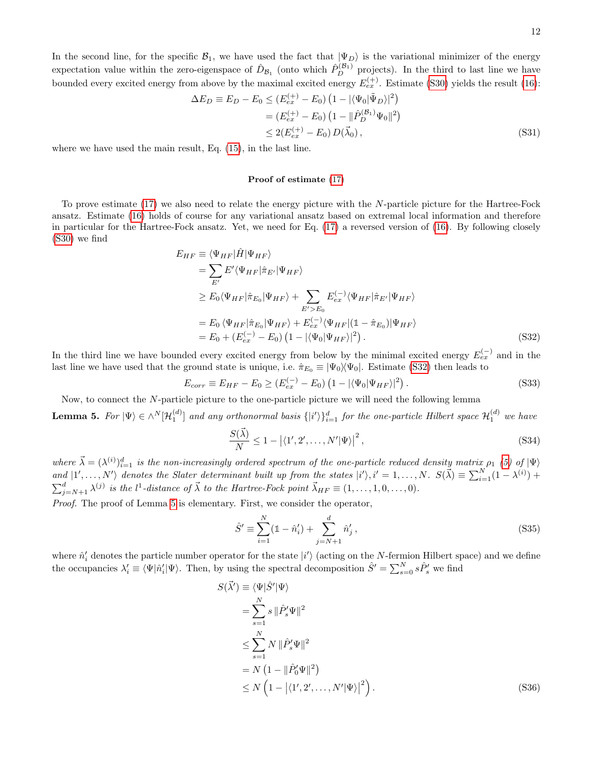In the second line, for the specific  $\mathcal{B}_1$ , we have used the fact that  $|\Psi_D\rangle$  is the variational minimizer of the energy expectation value within the zero-eigenspace of  $\hat{D}_{\mathcal{B}_1}$  (onto which  $\hat{P}_D^{(\mathcal{B}_1)}$  projects). In the third to last line we have bounded every excited energy from above by the maximal excited energy  $E_{ex}^{(+)}$ . Estimate [\(S30\)](#page-10-3) yields the result [\(16\)](#page-3-1):

$$
\Delta E_D \equiv E_D - E_0 \le (E_{ex}^{(+)} - E_0) \left( 1 - |\langle \Psi_0 | \tilde{\Psi}_D \rangle|^2 \right)
$$
  
=  $(E_{ex}^{(+)} - E_0) \left( 1 - ||\hat{P}_D^{(\mathcal{B}_1)} \Psi_0||^2 \right)$   
 $\le 2(E_{ex}^{(+)} - E_0) D(\vec{\lambda}_0),$  (S31)

where we have used the main result, Eq. [\(15\)](#page-2-4), in the last line.

### Proof of estimate [\(17\)](#page-3-2)

To prove estimate [\(17\)](#page-3-2) we also need to relate the energy picture with the N-particle picture for the Hartree-Fock ansatz. Estimate [\(16\)](#page-3-1) holds of course for any variational ansatz based on extremal local information and therefore in particular for the Hartree-Fock ansatz. Yet, we need for Eq. [\(17\)](#page-3-2) a reversed version of [\(16\)](#page-3-1). By following closely [\(S30\)](#page-10-3) we find

<span id="page-11-0"></span>
$$
E_{HF} \equiv \langle \Psi_{HF} | \hat{H} | \Psi_{HF} \rangle
$$
  
\n
$$
= \sum_{E'} E' \langle \Psi_{HF} | \hat{\pi}_{E'} | \Psi_{HF} \rangle
$$
  
\n
$$
\ge E_0 \langle \Psi_{HF} | \hat{\pi}_{E_0} | \Psi_{HF} \rangle + \sum_{E' > E_0} E_{ex}^{(-)} \langle \Psi_{HF} | \hat{\pi}_{E'} | \Psi_{HF} \rangle
$$
  
\n
$$
= E_0 \langle \Psi_{HF} | \hat{\pi}_{E_0} | \Psi_{HF} \rangle + E_{ex}^{(-)} \langle \Psi_{HF} | (1 - \hat{\pi}_{E_0}) | \Psi_{HF} \rangle
$$
  
\n
$$
= E_0 + (E_{ex}^{(-)} - E_0) (1 - |\langle \Psi_0 | \Psi_{HF} \rangle|^2).
$$
 (S32)

In the third line we have bounded every excited energy from below by the minimal excited energy  $E_{ex}^{(-)}$  and in the last line we have used that the ground state is unique, i.e.  $\hat{\pi}_{E_0} \equiv |\Psi_0\rangle \langle \Psi_0|$ . Estimate [\(S32\)](#page-11-0) then leads to

<span id="page-11-3"></span>
$$
E_{corr} \equiv E_{HF} - E_0 \ge (E_{ex}^{(-)} - E_0) \left( 1 - |\langle \Psi_0 | \Psi_{HF} \rangle|^2 \right). \tag{S33}
$$

<span id="page-11-1"></span>Now, to connect the N-particle picture to the one-particle picture we will need the following lemma **Lemma 5.** For  $|\Psi\rangle \in \wedge^N[\mathcal{H}_1^{(d)}]$  and any orthonormal basis  $\{|i'\rangle\}_{i=1}^d$  for the one-particle Hilbert space  $\mathcal{H}_1^{(d)}$  we have

$$
\frac{S(\vec{\lambda})}{N} \le 1 - \left| \langle 1', 2', \dots, N' | \Psi \rangle \right|^2,\tag{S34}
$$

where  $\vec{\lambda} = (\lambda^{(i)})_{i=1}^d$  is the non-increasingly ordered spectrum of the one-particle reduced density matrix  $\rho_1$  [\(5\)](#page-1-5) of  $|\Psi\rangle$ and  $|1',...,N'\rangle$  denotes the Slater determinant built up from the states  $|i'\rangle, i'=1,...,N$ .  $S(\vec{\lambda}) \equiv \sum_{i=1}^{N} (1-\lambda^{(i)}) +$  $\sum_{j=N+1}^{d} \lambda^{(j)}$  is the l<sup>1</sup>-distance of  $\vec{\lambda}$  to the Hartree-Fock point  $\vec{\lambda}_{HF} \equiv (1,\ldots,1,0,\ldots,0)$ .

Proof. The proof of Lemma [5](#page-11-1) is elementary. First, we consider the operator,

$$
\hat{S}' \equiv \sum_{i=1}^{N} (1 - \hat{n}'_i) + \sum_{j=N+1}^{d} \hat{n}'_j,
$$
\n(S35)

where  $\hat{n}'_i$  denotes the particle number operator for the state  $|i'\rangle$  (acting on the N-fermion Hilbert space) and we define the occupancies  $\lambda'_i \equiv \langle \Psi | \hat{n}'_i | \Psi \rangle$ . Then, by using the spectral decomposition  $\hat{S}' = \sum_{s=0}^N s \hat{P}'_s$  we find

<span id="page-11-2"></span>
$$
S(\vec{\lambda}') \equiv \langle \Psi | \hat{S}' | \Psi \rangle
$$
  
\n
$$
= \sum_{s=1}^{N} s \| \hat{P}'_{s} \Psi \|^{2}
$$
  
\n
$$
\leq \sum_{s=1}^{N} N \| \hat{P}'_{s} \Psi \|^{2}
$$
  
\n
$$
= N \left( 1 - \| \hat{P}'_{0} \Psi \|^{2} \right)
$$
  
\n
$$
\leq N \left( 1 - |\langle 1', 2', \dots, N' | \Psi \rangle|^{2} \right).
$$
 (S36)